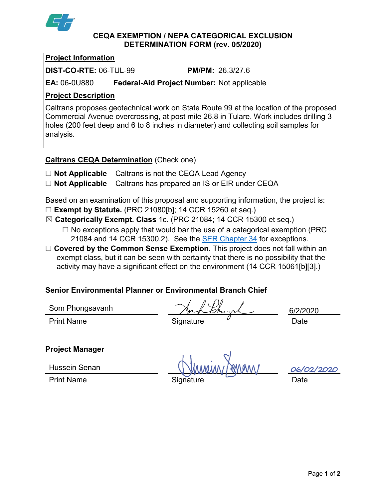

**CEQA EXEMPTION / NEPA CATEGORICAL EXCLUSION DETERMINATION FORM (rev. 05/2020)**

## **Project Information**

**DIST-CO-RTE:** 06-TUL-99 **PM/PM:** 26.3/27.6

**EA:** 06-0U880 **Federal-Aid Project Number:** Not applicable

### **Project Description**

Caltrans proposes geotechnical work on State Route 99 at the location of the proposed Commercial Avenue overcrossing, at post mile 26.8 in Tulare. Work includes drilling 3 holes (200 feet deep and 6 to 8 inches in diameter) and collecting soil samples for analysis.

### **Caltrans CEQA Determination** (Check one)

- ☐ **Not Applicable** Caltrans is not the CEQA Lead Agency
- ☐ **Not Applicable** Caltrans has prepared an IS or EIR under CEQA

Based on an examination of this proposal and supporting information, the project is:

- ☐ **Exempt by Statute.** (PRC 21080[b]; 14 CCR 15260 et seq.)
- ☒ **Categorically Exempt. Class** 1c. (PRC 21084; 14 CCR 15300 et seq.)
	- $\Box$  No exceptions apply that would bar the use of a categorical exemption (PRC 21084 and 14 CCR 15300.2). See the **SER Chapter 34** for exceptions.
- ☐ **Covered by the Common Sense Exemption**. This project does not fall within an exempt class, but it can be seen with certainty that there is no possibility that the activity may have a significant effect on the environment (14 CCR 15061[b][3].)

# **Senior Environmental Planner or Environmental Branch Chief**

Som Phongsavanh

Print Name **Signature** Date **Date** 

6/2/2020

**Project Manager**

Hussein Senan

Print Name **Signature** Date **Date** 

**06/02/**